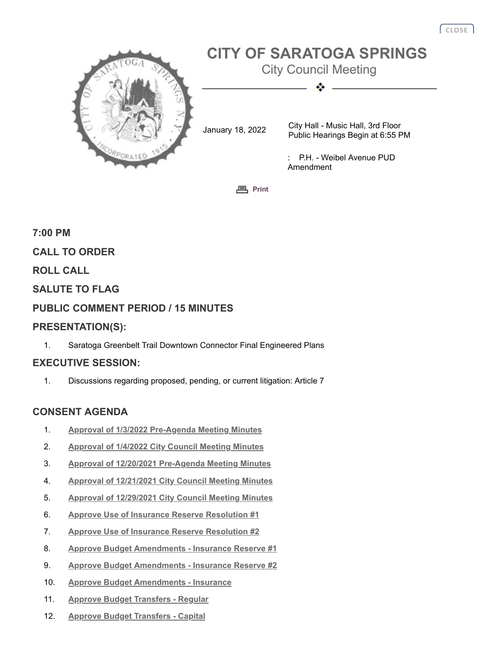

**<sub>[Print](javascript:history.go(0);)</sub>** 

# **7:00 PM CALL TO ORDER ROLL CALL SALUTE TO FLAG PUBLIC COMMENT PERIOD / 15 MINUTES PRESENTATION(S):**

1. Saratoga Greenbelt Trail Downtown Connector Final Engineered Plans

## **EXECUTIVE SESSION:**

1. Discussions regarding proposed, pending, or current litigation: Article 7

## **CONSENT AGENDA**

- 1. **[Approval of 1/3/2022 Pre-Agenda Meeting Minutes](http://agenda.saratoga-springs.org/agendainternal/Bluesheet.aspx?ItemID=18298&MeetingID=1552)**
- 2. **[Approval of 1/4/2022 City Council Meeting Minutes](http://agenda.saratoga-springs.org/agendainternal/Bluesheet.aspx?ItemID=18299&MeetingID=1552)**
- 3. **[Approval of 12/20/2021 Pre-Agenda Meeting Minutes](http://agenda.saratoga-springs.org/agendainternal/Bluesheet.aspx?ItemID=18295&MeetingID=1552)**
- 4. **[Approval of 12/21/2021 City Council Meeting Minutes](http://agenda.saratoga-springs.org/agendainternal/Bluesheet.aspx?ItemID=18296&MeetingID=1552)**
- 5. **[Approval of 12/29/2021 City Council Meeting Minutes](http://agenda.saratoga-springs.org/agendainternal/Bluesheet.aspx?ItemID=18297&MeetingID=1552)**
- 6. **[Approve Use of Insurance Reserve Resolution #1](http://agenda.saratoga-springs.org/agendainternal/Bluesheet.aspx?ItemID=18277&MeetingID=1552)**
- 7. **[Approve Use of Insurance Reserve Resolution #2](http://agenda.saratoga-springs.org/agendainternal/Bluesheet.aspx?ItemID=18278&MeetingID=1552)**
- 8. **[Approve Budget Amendments Insurance Reserve #1](http://agenda.saratoga-springs.org/agendainternal/Bluesheet.aspx?ItemID=18279&MeetingID=1552)**
- 9. **[Approve Budget Amendments Insurance Reserve #2](http://agenda.saratoga-springs.org/agendainternal/Bluesheet.aspx?ItemID=18280&MeetingID=1552)**
- 10. **[Approve Budget Amendments Insurance](http://agenda.saratoga-springs.org/agendainternal/Bluesheet.aspx?ItemID=18310&MeetingID=1552)**
- 11. **[Approve Budget Transfers Regular](http://agenda.saratoga-springs.org/agendainternal/Bluesheet.aspx?ItemID=18281&MeetingID=1552)**
- 12. **[Approve Budget Transfers Capital](http://agenda.saratoga-springs.org/agendainternal/Bluesheet.aspx?ItemID=18329&MeetingID=1552)**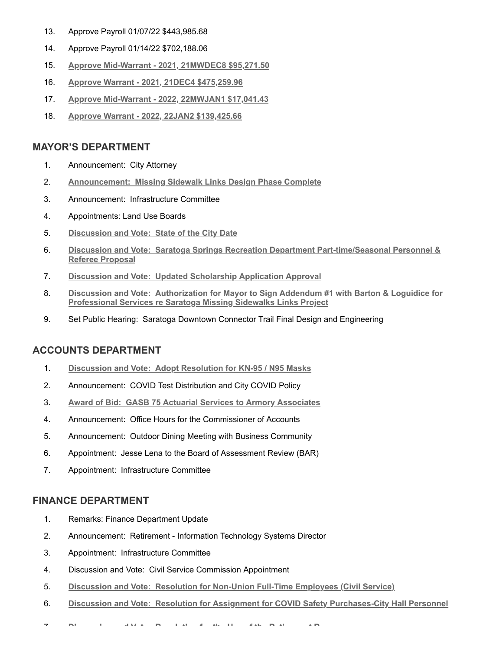- 13. Approve Payroll 01/07/22 \$443,985.68
- 14. Approve Payroll 01/14/22 \$702,188.06
- 15. **[Approve Mid-Warrant 2021, 21MWDEC8 \\$95,271.50](http://agenda.saratoga-springs.org/agendainternal/Bluesheet.aspx?ItemID=18314&MeetingID=1552)**
- 16. **[Approve Warrant 2021, 21DEC4 \\$475,259.96](http://agenda.saratoga-springs.org/agendainternal/Bluesheet.aspx?ItemID=18319&MeetingID=1552)**
- 17. **[Approve Mid-Warrant 2022, 22MWJAN1 \\$17,041.43](http://agenda.saratoga-springs.org/agendainternal/Bluesheet.aspx?ItemID=18292&MeetingID=1552)**
- 18. **[Approve Warrant 2022, 22JAN2 \\$139,425.66](http://agenda.saratoga-springs.org/agendainternal/Bluesheet.aspx?ItemID=18318&MeetingID=1552)**

#### **MAYOR'S DEPARTMENT**

- 1. Announcement: City Attorney
- 2. **Announcement: [Missing Sidewalk Links Design Phase Complete](http://agenda.saratoga-springs.org/agendainternal/Bluesheet.aspx?ItemID=18308&MeetingID=1552)**
- 3. Announcement: Infrastructure Committee
- 4. Appointments: Land Use Boards
- 5. **[Discussion and Vote:](http://agenda.saratoga-springs.org/agendainternal/Bluesheet.aspx?ItemID=18337&MeetingID=1552) State of the City Date**
- 6. **Discussion and Vote: [Saratoga Springs Recreation Department Part-time/Seasonal Personnel &](http://agenda.saratoga-springs.org/agendainternal/Bluesheet.aspx?ItemID=18241&MeetingID=1552) Referee Proposal**
- 7. **Discussion and Vote: [Updated Scholarship Application Approval](http://agenda.saratoga-springs.org/agendainternal/Bluesheet.aspx?ItemID=18240&MeetingID=1552)**
- 8. **Discussion and Vote: [Authorization for Mayor to Sign Addendum #1 with Barton & Loguidice for](http://agenda.saratoga-springs.org/agendainternal/Bluesheet.aspx?ItemID=18306&MeetingID=1552) Professional Services re Saratoga Missing Sidewalks Links Project**
- 9. Set Public Hearing: Saratoga Downtown Connector Trail Final Design and Engineering

#### **ACCOUNTS DEPARTMENT**

- 1. **Discussion and Vote: [Adopt Resolution for KN-95 / N95 Masks](http://agenda.saratoga-springs.org/agendainternal/Bluesheet.aspx?ItemID=18325&MeetingID=1552)**
- 2. Announcement: COVID Test Distribution and City COVID Policy
- 3. **Award of Bid: [GASB 75 Actuarial Services to Armory Associates](http://agenda.saratoga-springs.org/agendainternal/Bluesheet.aspx?ItemID=18322&MeetingID=1552)**
- 4. Announcement: Office Hours for the Commissioner of Accounts
- 5. Announcement: Outdoor Dining Meeting with Business Community
- 6. Appointment: Jesse Lena to the Board of Assessment Review (BAR)
- 7. Appointment: Infrastructure Committee

## **FINANCE DEPARTMENT**

- 1. Remarks: Finance Department Update
- 2. Announcement: Retirement Information Technology Systems Director
- 3. Appointment: Infrastructure Committee
- 4. Discussion and Vote: Civil Service Commission Appointment
- 5. **Discussion and Vote: [Resolution for Non-Union Full-Time Employees \(Civil Service\)](http://agenda.saratoga-springs.org/agendainternal/Bluesheet.aspx?ItemID=18285&MeetingID=1552)**
- 6. **Discussion and Vote: [Resolution for Assignment for COVID Safety Purchases-City Hall Personnel](http://agenda.saratoga-springs.org/agendainternal/Bluesheet.aspx?ItemID=18326&MeetingID=1552)**
- 7 **[Di](http://agenda.saratoga-springs.org/agendainternal/Bluesheet.aspx?ItemID=18274&MeetingID=1552) i d V t R l ti f th U f th R ti t R**